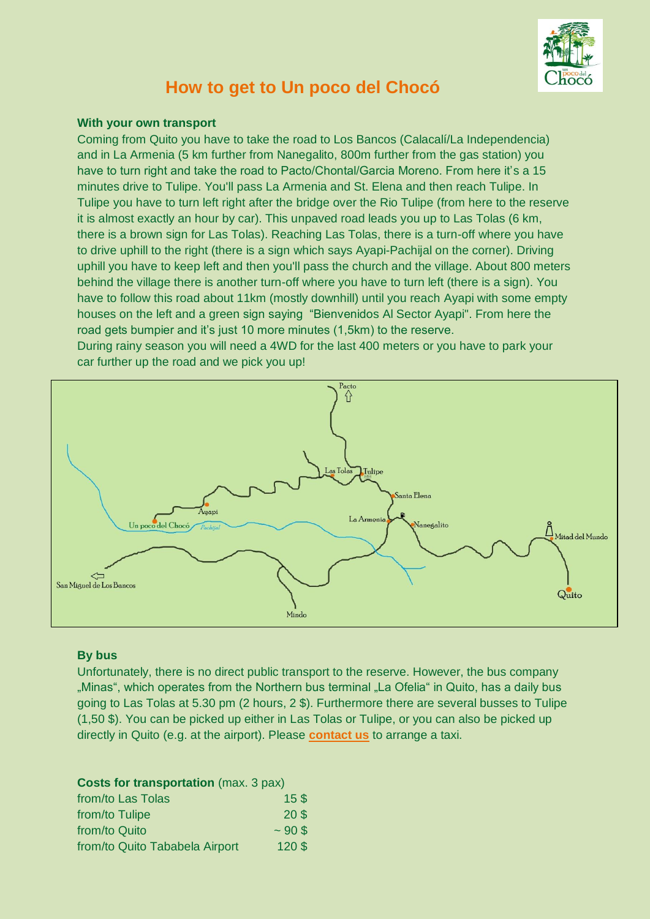

# **How to get to Un poco del Chocó**

### **With your own transport**

Coming from Quito you have to take the road to Los Bancos (Calacalí/La Independencia) and in La Armenia (5 km further from Nanegalito, 800m further from the gas station) you have to turn right and take the road to Pacto/Chontal/Garcia Moreno. From here it's a 15 minutes drive to Tulipe. You'll pass La Armenia and St. Elena and then reach Tulipe. In Tulipe you have to turn left right after the bridge over the Rio Tulipe (from here to the reserve it is almost exactly an hour by car). This unpaved road leads you up to Las Tolas (6 km, there is a brown sign for Las Tolas). Reaching Las Tolas, there is a turn-off where you have to drive uphill to the right (there is a sign which says Ayapi-Pachijal on the corner). Driving uphill you have to keep left and then you'll pass the church and the village. About 800 meters behind the village there is another turn-off where you have to turn left (there is a sign). You have to follow this road about 11km (mostly downhill) until you reach Ayapi with some empty houses on the left and a green sign saying "Bienvenidos Al Sector Ayapi". From here the road gets bumpier and it's just 10 more minutes (1,5km) to the reserve.

During rainy season you will need a 4WD for the last 400 meters or you have to park your car further up the road and we pick you up!



### **By bus**

Unfortunately, there is no direct public transport to the reserve. However, the bus company "Minas", which operates from the Northern bus terminal "La Ofelia" in Quito, has a daily bus going to Las Tolas at 5.30 pm (2 hours, 2 \$). Furthermore there are several busses to Tulipe (1,50 \$). You can be picked up either in Las Tolas or Tulipe, or you can also be picked up directly in Quito (e.g. at the airport). Please **[contact us](http://www.unpocodelchoco.com/Contact.htm)** to arrange a taxi.

### **Costs for transportation** (max. 3 pax)

| from/to Las Tolas              | 15S             |
|--------------------------------|-----------------|
| from/to Tulipe                 | 20 <sup>3</sup> |
| from/to Quito                  | ~1005           |
| from/to Quito Tababela Airport | 120S            |